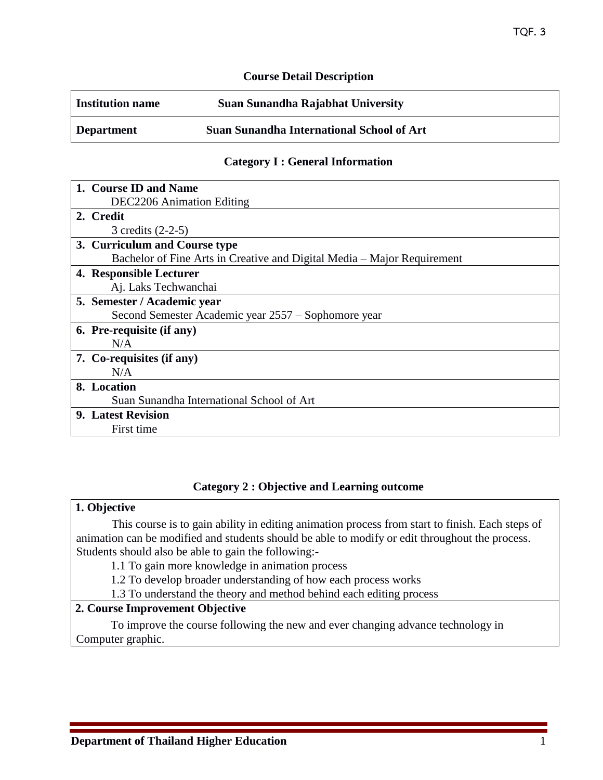### **Course Detail Description**

| <b>Institution name</b> | Suan Sunandha Rajabhat University                |
|-------------------------|--------------------------------------------------|
| <b>Department</b>       | <b>Suan Sunandha International School of Art</b> |

### **Category I : General Information**

| 1. Course ID and Name                                                   |  |  |
|-------------------------------------------------------------------------|--|--|
| <b>DEC2206</b> Animation Editing                                        |  |  |
| 2. Credit                                                               |  |  |
| 3 credits $(2-2-5)$                                                     |  |  |
| 3. Curriculum and Course type                                           |  |  |
| Bachelor of Fine Arts in Creative and Digital Media – Major Requirement |  |  |
| 4. Responsible Lecturer                                                 |  |  |
| Aj. Laks Techwanchai                                                    |  |  |
| 5. Semester / Academic year                                             |  |  |
| Second Semester Academic year 2557 – Sophomore year                     |  |  |
| 6. Pre-requisite (if any)                                               |  |  |
| N/A                                                                     |  |  |
| 7. Co-requisites (if any)                                               |  |  |
| N/A                                                                     |  |  |
| 8. Location                                                             |  |  |
| Suan Sunandha International School of Art                               |  |  |
| <b>9. Latest Revision</b>                                               |  |  |
| First time                                                              |  |  |

#### **Category 2 : Objective and Learning outcome**

### **1. Objective**

This course is to gain ability in editing animation process from start to finish. Each steps of animation can be modified and students should be able to modify or edit throughout the process. Students should also be able to gain the following:-

1.1 To gain more knowledge in animation process

1.2 To develop broader understanding of how each process works

1.3 To understand the theory and method behind each editing process

# **2. Course Improvement Objective**

To improve the course following the new and ever changing advance technology in Computer graphic.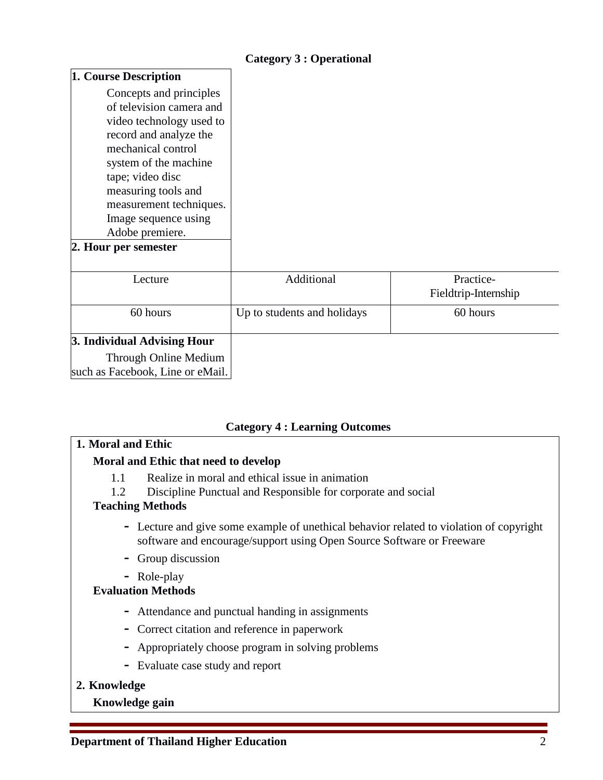# **Category 3 : Operational**

| 1. Course Description                                                                                                                                                                                                                                                                             |                             |                                   |
|---------------------------------------------------------------------------------------------------------------------------------------------------------------------------------------------------------------------------------------------------------------------------------------------------|-----------------------------|-----------------------------------|
| Concepts and principles<br>of television camera and<br>video technology used to<br>record and analyze the<br>mechanical control<br>system of the machine<br>tape; video disc<br>measuring tools and<br>measurement techniques.<br>Image sequence using<br>Adobe premiere.<br>2. Hour per semester |                             |                                   |
| Lecture                                                                                                                                                                                                                                                                                           | Additional                  | Practice-<br>Fieldtrip-Internship |
| 60 hours                                                                                                                                                                                                                                                                                          | Up to students and holidays | 60 hours                          |
| 3. Individual Advising Hour                                                                                                                                                                                                                                                                       |                             |                                   |
| Through Online Medium                                                                                                                                                                                                                                                                             |                             |                                   |
| such as Facebook, Line or eMail.                                                                                                                                                                                                                                                                  |                             |                                   |

## **Category 4 : Learning Outcomes**

# **1. Moral and Ethic**

## **Moral and Ethic that need to develop**

- 1.1 Realize in moral and ethical issue in animation
- 1.2 Discipline Punctual and Responsible for corporate and social

## **Teaching Methods**

- **-** Lecture and give some example of unethical behavior related to violation of copyright software and encourage/support using Open Source Software or Freeware
- **-** Group discussion
- **-** Role-play

# **Evaluation Methods**

- **-** Attendance and punctual handing in assignments
- **-** Correct citation and reference in paperwork
- **-** Appropriately choose program in solving problems
- **-** Evaluate case study and report

## **2. Knowledge**

## **Knowledge gain**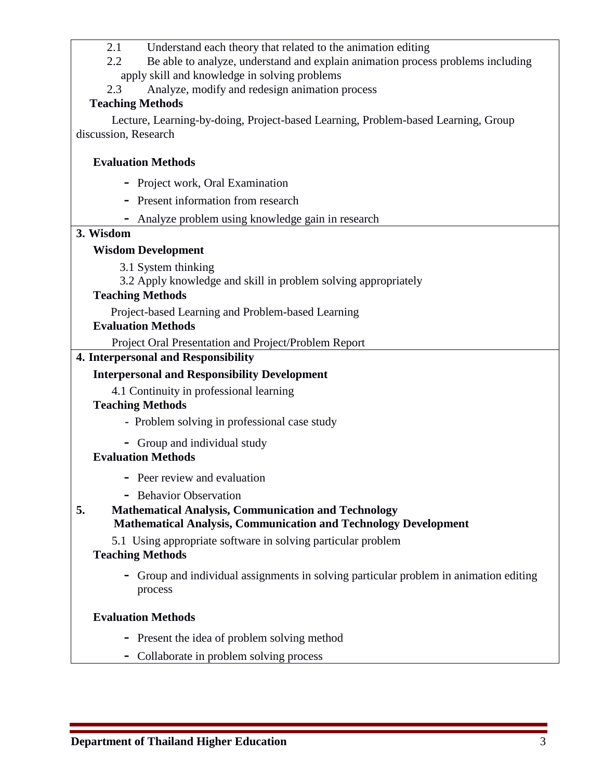- 2.1 Understand each theory that related to the animation editing
- 2.2 Be able to analyze, understand and explain animation process problems including apply skill and knowledge in solving problems
- 2.3 Analyze, modify and redesign animation process

# **Teaching Methods**

Lecture, Learning-by-doing, Project-based Learning, Problem-based Learning, Group discussion, Research

# **Evaluation Methods**

- **-** Project work, Oral Examination
- **-** Present information from research
- **-** Analyze problem using knowledge gain in research

## **3. Wisdom**

## **Wisdom Development**

3.1 System thinking

3.2 Apply knowledge and skill in problem solving appropriately

## **Teaching Methods**

Project-based Learning and Problem-based Learning

### **Evaluation Methods**

Project Oral Presentation and Project/Problem Report

## **4. Interpersonal and Responsibility**

# **Interpersonal and Responsibility Development**

4.1 Continuity in professional learning

## **Teaching Methods**

- Problem solving in professional case study
- **-** Group and individual study

## **Evaluation Methods**

- **-** Peer review and evaluation
- **-** Behavior Observation
- **5. Mathematical Analysis, Communication and Technology Mathematical Analysis, Communication and Technology Development**

5.1 Using appropriate software in solving particular problem

## **Teaching Methods**

**-** Group and individual assignments in solving particular problem in animation editing process

## **Evaluation Methods**

- **-** Present the idea of problem solving method
- **-** Collaborate in problem solving process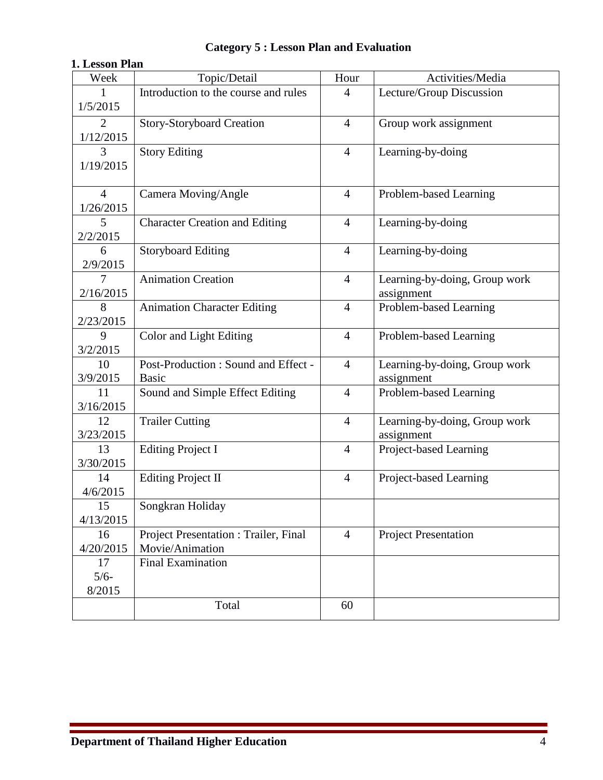| 1. Lesson Plan                         |                                                          |                |                                             |  |  |  |  |  |
|----------------------------------------|----------------------------------------------------------|----------------|---------------------------------------------|--|--|--|--|--|
| Week                                   | Topic/Detail                                             | Hour           | Activities/Media                            |  |  |  |  |  |
| 1/5/2015                               | Introduction to the course and rules                     | $\overline{4}$ | Lecture/Group Discussion                    |  |  |  |  |  |
| $\overline{2}$<br>1/12/2015            | <b>Story-Storyboard Creation</b>                         |                | Group work assignment                       |  |  |  |  |  |
| 3<br><b>Story Editing</b><br>1/19/2015 |                                                          | $\overline{4}$ | Learning-by-doing                           |  |  |  |  |  |
| $\overline{4}$<br>1/26/2015            | Camera Moving/Angle                                      | $\overline{4}$ | Problem-based Learning                      |  |  |  |  |  |
| 5<br>2/2/2015                          | <b>Character Creation and Editing</b>                    | $\overline{4}$ | Learning-by-doing                           |  |  |  |  |  |
| 6<br>2/9/2015                          | <b>Storyboard Editing</b>                                |                | Learning-by-doing                           |  |  |  |  |  |
| 7<br>2/16/2015                         | <b>Animation Creation</b>                                |                | Learning-by-doing, Group work<br>assignment |  |  |  |  |  |
| 8<br>2/23/2015                         | <b>Animation Character Editing</b>                       | $\overline{4}$ | Problem-based Learning                      |  |  |  |  |  |
| 9<br>3/2/2015                          | Color and Light Editing                                  |                | Problem-based Learning                      |  |  |  |  |  |
| 10<br>3/9/2015                         | Post-Production: Sound and Effect -<br><b>Basic</b>      | $\overline{4}$ | Learning-by-doing, Group work<br>assignment |  |  |  |  |  |
| 11<br>3/16/2015                        | Sound and Simple Effect Editing                          |                | Problem-based Learning                      |  |  |  |  |  |
| 12<br>3/23/2015                        | <b>Trailer Cutting</b>                                   |                | Learning-by-doing, Group work<br>assignment |  |  |  |  |  |
| 13<br>3/30/2015                        | <b>Editing Project I</b>                                 | $\overline{4}$ | Project-based Learning                      |  |  |  |  |  |
| 14<br>4/6/2015                         | <b>Editing Project II</b>                                | $\overline{4}$ | Project-based Learning                      |  |  |  |  |  |
| 15<br>4/13/2015                        | Songkran Holiday                                         |                |                                             |  |  |  |  |  |
| 16<br>4/20/2015                        | Project Presentation : Trailer, Final<br>Movie/Animation | $\overline{4}$ | <b>Project Presentation</b>                 |  |  |  |  |  |
| 17<br>$5/6-$<br>8/2015                 | <b>Final Examination</b>                                 |                |                                             |  |  |  |  |  |
|                                        | Total                                                    | 60             |                                             |  |  |  |  |  |

# **Category 5 : Lesson Plan and Evaluation**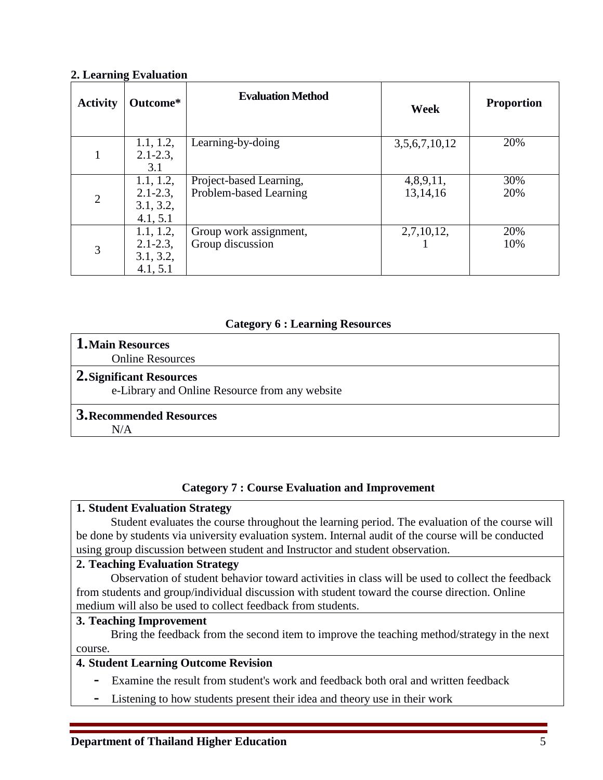### **2. Learning Evaluation**

| <b>Activity</b> | Outcome*                                            | <b>Evaluation Method</b>                          | Week                  | <b>Proportion</b> |
|-----------------|-----------------------------------------------------|---------------------------------------------------|-----------------------|-------------------|
|                 | 1.1, 1.2,<br>$2.1 - 2.3$ ,<br>3.1                   | Learning-by-doing                                 | 3,5,6,7,10,12         | 20%               |
| $\overline{2}$  | 1.1, 1.2,<br>$2.1 - 2.3$ ,<br>3.1, 3.2,<br>4.1, 5.1 | Project-based Learning,<br>Problem-based Learning | 4,8,9,11,<br>13,14,16 | 30%<br>20%        |
| 3               | 1.1, 1.2,<br>$2.1 - 2.3$ ,<br>3.1, 3.2,<br>4.1, 5.1 | Group work assignment,<br>Group discussion        | 2,7,10,12,            | 20%<br>10%        |

# **Category 6 : Learning Resources**

## **1.Main Resources**

Online Resources

#### **2.Significant Resources**

e-Library and Online Resource from any website

#### **3.Recommended Resources**

 $N/A$ 

## **Category 7 : Course Evaluation and Improvement**

#### **1. Student Evaluation Strategy**

Student evaluates the course throughout the learning period. The evaluation of the course will be done by students via university evaluation system. Internal audit of the course will be conducted using group discussion between student and Instructor and student observation.

## **2. Teaching Evaluation Strategy**

Observation of student behavior toward activities in class will be used to collect the feedback from students and group/individual discussion with student toward the course direction. Online medium will also be used to collect feedback from students.

## **3. Teaching Improvement**

Bring the feedback from the second item to improve the teaching method/strategy in the next course.

# **4. Student Learning Outcome Revision**

- **-** Examine the result from student's work and feedback both oral and written feedback
- **-** Listening to how students present their idea and theory use in their work